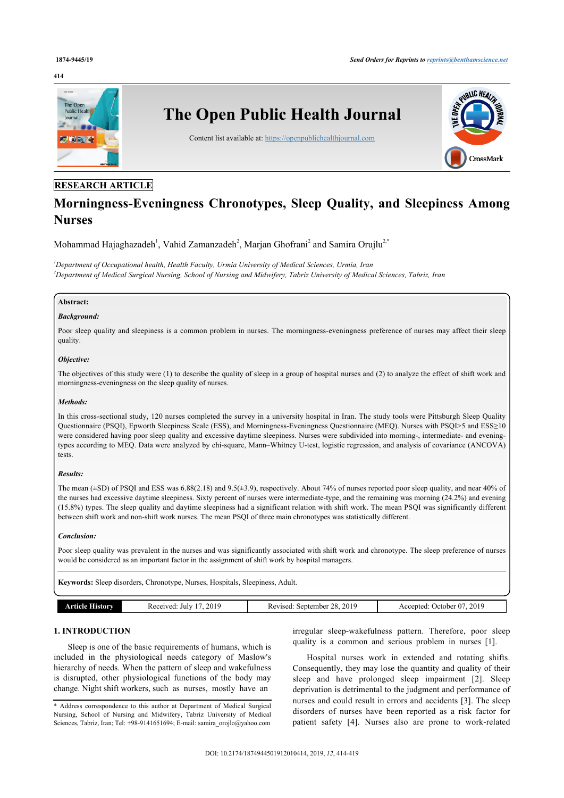#### **414**



# **RESEARCH ARTICLE**

# **Morningness-Eveningness Chronotypes, Sleep Quality, and Sleepiness Among Nurses**

Mohammad Hajaghazadeh<sup>[1](#page-0-0)</sup>, Vahid Zamanzadeh<sup>[2](#page-0-1)</sup>, Marjan Ghofrani<sup>2</sup> and Samira Orujlu<sup>2[,\\*](#page-0-2)</sup>

<span id="page-0-1"></span><span id="page-0-0"></span>*<sup>1</sup>Department of Occupational health, Health Faculty, Urmia University of Medical Sciences, Urmia, Iran <sup>2</sup>Department of Medical Surgical Nursing, School of Nursing and Midwifery, Tabriz University of Medical Sciences, Tabriz, Iran*

# **Abstract:**

# *Background:*

Poor sleep quality and sleepiness is a common problem in nurses. The morningness-eveningness preference of nurses may affect their sleep quality.

#### *Objective:*

The objectives of this study were (1) to describe the quality of sleep in a group of hospital nurses and (2) to analyze the effect of shift work and morningness-eveningness on the sleep quality of nurses.

#### *Methods:*

In this cross-sectional study, 120 nurses completed the survey in a university hospital in Iran. The study tools were Pittsburgh Sleep Quality Questionnaire (PSQI), Epworth Sleepiness Scale (ESS), and Morningness-Eveningness Questionnaire (MEQ). Nurses with PSQI>5 and ESS≥10 were considered having poor sleep quality and excessive daytime sleepiness. Nurses were subdivided into morning-, intermediate- and eveningtypes according to MEQ. Data were analyzed by chi-square, Mann–Whitney U-test, logistic regression, and analysis of covariance (ANCOVA) tests.

# *Results:*

The mean (±SD) of PSQI and ESS was 6.88(2.18) and 9.5(±3.9), respectively. About 74% of nurses reported poor sleep quality, and near 40% of the nurses had excessive daytime sleepiness. Sixty percent of nurses were intermediate-type, and the remaining was morning (24.2%) and evening (15.8%) types. The sleep quality and daytime sleepiness had a significant relation with shift work. The mean PSQI was significantly different between shift work and non-shift work nurses. The mean PSQI of three main chronotypes was statistically different.

#### *Conclusion:*

Poor sleep quality was prevalent in the nurses and was significantly associated with shift work and chronotype. The sleep preference of nurses would be considered as an important factor in the assignment of shift work by hospital managers.

**Keywords:** Sleep disorders, Chronotype, Nurses, Hospitals, Sleepiness, Adult.

| Article History | 2019<br>Received<br>July | 28.2019<br>September<br>Revised: | 2019<br>October 07<br>Accepted: |
|-----------------|--------------------------|----------------------------------|---------------------------------|
|                 |                          |                                  |                                 |

# **1. INTRODUCTION**

Sleep is one of the basic requirements of humans, which is included in the physiological needs category of Maslow's hierarchy of needs. When the pattern of sleep and wakefulness is disrupted, other physiological functions of the body may change. Night shift workers, such as nurses, mostly have an

irregular sleep-wakefulness pattern. Therefore, poor sleep quality is a common and serious problem in nurses [\[1\]](#page-5-0).

Hospital nurses work in extended and rotating shifts. Consequently, they may lose the quantity and quality of their sleep and have prolonged sleep impairment [\[2\]](#page-5-1). Sleep deprivation is detrimental to the judgment and performance of nurses and could result in errors and accidents [[3](#page-5-2)]. The sleep disorders of nurses have been reported as a risk factor for patient safety[[4](#page-5-3)]. Nurses also are prone to work-related

<span id="page-0-2"></span><sup>\*</sup> Address correspondence to this author at Department of Medical Surgical Nursing, School of Nursing and Midwifery, Tabriz University of Medical Sciences, Tabriz, Iran; Tel: +98-9141651694; E-mail: [samira\\_orojlo@yahoo.com](mailto:samira_orojlo@yahoo.com)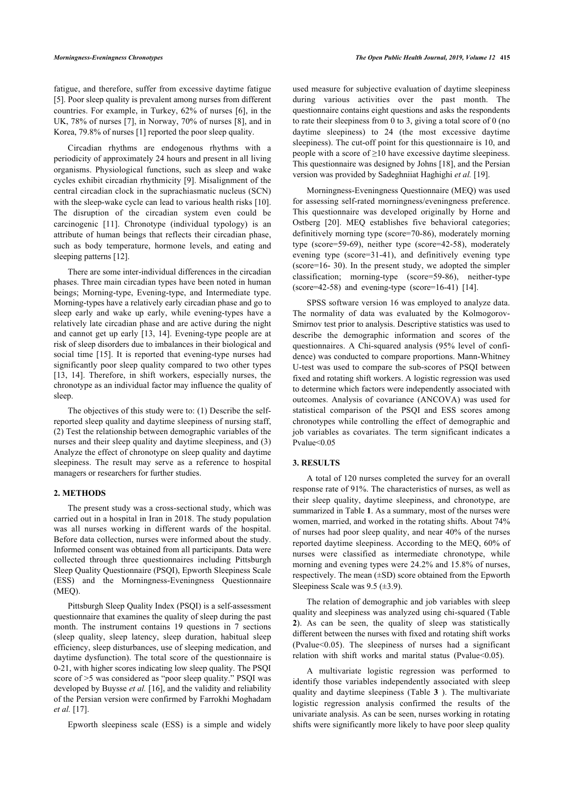fatigue, and therefore, suffer from excessive daytime fatigue [[5](#page-5-4)]. Poor sleep quality is prevalent among nurses from different countries. For example, in Turkey, 62% of nurses [[6](#page-5-5)], in the UK, 78% of nurses [[7\]](#page-5-6), in Norway, 70% of nurses [[8](#page-5-7)], and in Korea, 79.8% of nurses [[1](#page-5-0)] reported the poor sleep quality.

Circadian rhythms are endogenous rhythms with a periodicity of approximately 24 hours and present in all living organisms. Physiological functions, such as sleep and wake cycles exhibit circadian rhythmicity [\[9\]](#page-5-8). Misalignment of the central circadian clock in the suprachiasmatic nucleus (SCN) with the sleep-wake cycle can lead to various health risks [[10](#page-5-9)]. The disruption of the circadian system even could be carcinogenic[[11](#page-5-10)]. Chronotype (individual typology) is an attribute of human beings that reflects their circadian phase, such as body temperature, hormone levels, and eating and sleeping patterns [[12\]](#page-5-11).

There are some inter-individual differences in the circadian phases. Three main circadian types have been noted in human beings; Morning-type, Evening-type, and Intermediate type. Morning-types have a relatively early circadian phase and go to sleep early and wake up early, while evening-types have a relatively late circadian phase and are active during the night and cannot get up early [\[13,](#page-5-12) [14](#page-5-13)]. Evening-type people are at risk of sleep disorders due to imbalances in their biological and social time[[15](#page-5-14)]. It is reported that evening-type nurses had significantly poor sleep quality compared to two other types [[13,](#page-5-12) [14\]](#page-5-13). Therefore, in shift workers, especially nurses, the chronotype as an individual factor may influence the quality of sleep.

The objectives of this study were to: (1) Describe the selfreported sleep quality and daytime sleepiness of nursing staff, (2) Test the relationship between demographic variables of the nurses and their sleep quality and daytime sleepiness, and (3) Analyze the effect of chronotype on sleep quality and daytime sleepiness. The result may serve as a reference to hospital managers or researchers for further studies.

# **2. METHODS**

The present study was a cross-sectional study, which was carried out in a hospital in Iran in 2018. The study population was all nurses working in different wards of the hospital. Before data collection, nurses were informed about the study. Informed consent was obtained from all participants. Data were collected through three questionnaires including Pittsburgh Sleep Quality Questionnaire (PSQI), Epworth Sleepiness Scale (ESS) and the Morningness-Eveningness Questionnaire (MEQ).

Pittsburgh Sleep Quality Index (PSQI) is a self-assessment questionnaire that examines the quality of sleep during the past month. The instrument contains 19 questions in 7 sections (sleep quality, sleep latency, sleep duration, habitual sleep efficiency, sleep disturbances, use of sleeping medication, and daytime dysfunction). The total score of the questionnaire is 0-21, with higher scores indicating low sleep quality. The PSQI score of >5 was considered as "poor sleep quality." PSQI was developed by Buysse *et al.* [[16\]](#page-5-15), and the validity and reliability of the Persian version were confirmed by Farrokhi Moghadam *et al.* [[17\]](#page-5-16).

Epworth sleepiness scale (ESS) is a simple and widely

used measure for subjective evaluation of daytime sleepiness during various activities over the past month. The questionnaire contains eight questions and asks the respondents to rate their sleepiness from 0 to 3, giving a total score of 0 (no daytime sleepiness) to 24 (the most excessive daytime sleepiness). The cut-off point for this questionnaire is 10, and people with a score of  $\geq$ 10 have excessive daytime sleepiness. This questionnaire was designed by Johns [[18\]](#page-5-17), and the Persian version was provided by Sadeghniiat Haghighi *et al.* [\[19](#page-5-18)].

Morningness-Eveningness Questionnaire (MEQ) was used for assessing self-rated morningness/eveningness preference. This questionnaire was developed originally by Horne and Ostberg[[20](#page-5-19)]. MEQ establishes five behavioral categories; definitively morning type (score=70-86), moderately morning type (score=59-69), neither type (score=42-58), moderately evening type (score=31-41), and definitively evening type (score=16- 30). In the present study, we adopted the simpler classification; morning-type (score=59-86), neither-type  $(score=42-58)$  and evening-type  $(score=16-41)$  [\[14](#page-5-13)].

SPSS software version 16 was employed to analyze data. The normality of data was evaluated by the Kolmogorov-Smirnov test prior to analysis. Descriptive statistics was used to describe the demographic information and scores of the questionnaires. A Chi-squared analysis (95% level of confidence) was conducted to compare proportions. Mann-Whitney U-test was used to compare the sub-scores of PSQI between fixed and rotating shift workers. A logistic regression was used to determine which factors were independently associated with outcomes. Analysis of covariance (ANCOVA) was used for statistical comparison of the PSQI and ESS scores among chronotypes while controlling the effect of demographic and job variables as covariates. The term significant indicates a Pvalue<0.05

# **3. RESULTS**

A total of 120 nurses completed the survey for an overall response rate of 91%. The characteristics of nurses, as well as their sleep quality, daytime sleepiness, and chronotype, are summarized in Table **[1](#page-2-0)**. As a summary, most of the nurses were women, married, and worked in the rotating shifts. About 74% of nurses had poor sleep quality, and near 40% of the nurses reported daytime sleepiness. According to the MEQ, 60% of nurses were classified as intermediate chronotype, while morning and evening types were 24.2% and 15.8% of nurses, respectively. The mean (±SD) score obtained from the Epworth Sleepiness Scale was  $9.5$  ( $\pm 3.9$ ).

The relation of demographic and job variables with sleep quality and sleepiness was analyzed using chi-squared (Table **[2](#page-2-1)**). As can be seen, the quality of sleep was statistically different between the nurses with fixed and rotating shift works (Pvalue<0.05). The sleepiness of nurses had a significant relation with shift works and marital status (Pvalue  $0.05$ ).

A multivariate logistic regression was performed to identify those variables independently associated with sleep quality and daytime sleepiness (Table**3** ). The multivariate logistic regression analysis confirmed the results of the univariate analysis. As can be seen, nurses working in rotating shifts were significantly more likely to have poor sleep quality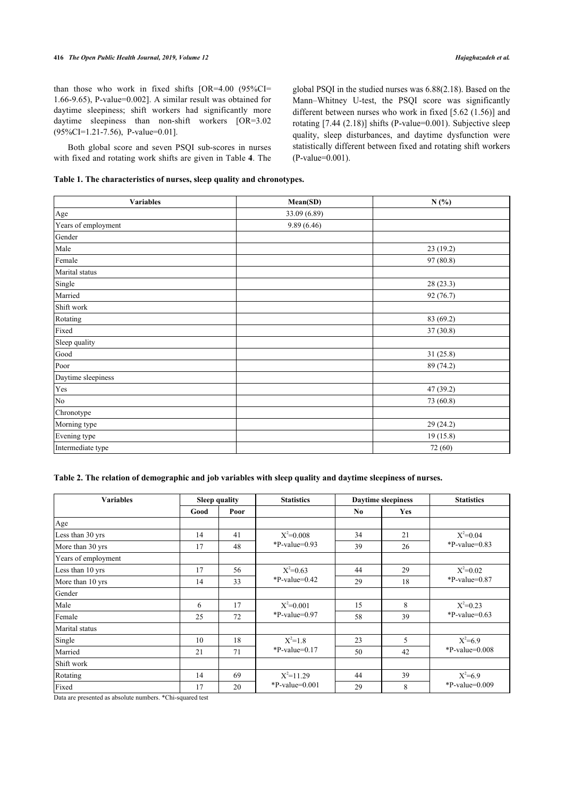than those who work in fixed shifts [OR=4.00 (95%CI= 1.66-9.65), P-value=0.002]. A similar result was obtained for daytime sleepiness; shift workers had significantly more daytime sleepiness than non-shift workers [OR=3.02] (95%CI=1.21-7.56), P-value=0.01].

Both global score and seven PSQI sub-scores in nurses with fixed and rotating work shifts are given in Table **[4](#page-3-0)**. The global PSQI in the studied nurses was 6.88(2.18). Based on the Mann–Whitney U-test, the PSQI score was significantly different between nurses who work in fixed [5.62 (1.56)] and rotating [7.44 (2.18)] shifts (P-value=0.001). Subjective sleep quality, sleep disturbances, and daytime dysfunction were statistically different between fixed and rotating shift workers (P-value=0.001).

<span id="page-2-0"></span>

|  | Table 1. The characteristics of nurses, sleep quality and chronotypes. |
|--|------------------------------------------------------------------------|
|--|------------------------------------------------------------------------|

| <b>Variables</b>    | Mean(SD)     | N(%)      |  |
|---------------------|--------------|-----------|--|
| Age                 | 33.09 (6.89) |           |  |
| Years of employment | 9.89 (6.46)  |           |  |
| Gender              |              |           |  |
| Male                |              | 23(19.2)  |  |
| Female              |              | 97 (80.8) |  |
| Marital status      |              |           |  |
| Single              |              | 28(23.3)  |  |
| Married             |              | 92 (76.7) |  |
| Shift work          |              |           |  |
| Rotating            |              | 83 (69.2) |  |
| Fixed               |              | 37(30.8)  |  |
| Sleep quality       |              |           |  |
| Good                |              | 31(25.8)  |  |
| Poor                |              | 89 (74.2) |  |
| Daytime sleepiness  |              |           |  |
| Yes                 |              | 47 (39.2) |  |
| No                  |              | 73 (60.8) |  |
| Chronotype          |              |           |  |
| Morning type        |              | 29 (24.2) |  |
| Evening type        |              | 19 (15.8) |  |
| Intermediate type   |              | 72 (60)   |  |

# <span id="page-2-1"></span>**Table 2. The relation of demographic and job variables with sleep quality and daytime sleepiness of nurses.**

| <b>Variables</b>    | <b>Sleep quality</b> |      | <b>Statistics</b> | <b>Daytime sleepiness</b> |            | <b>Statistics</b> |  |
|---------------------|----------------------|------|-------------------|---------------------------|------------|-------------------|--|
|                     | Good                 | Poor |                   | N <sub>0</sub>            | <b>Yes</b> |                   |  |
| Age                 |                      |      |                   |                           |            |                   |  |
| Less than 30 yrs    | 14                   | 41   | $X^2 = 0.008$     | 34                        | 21         | $X^2=0.04$        |  |
| More than 30 yrs    | 17                   | 48   | $P-value=0.93$    | 39                        | 26         | $*P-value=0.83$   |  |
| Years of employment |                      |      |                   |                           |            |                   |  |
| Less than 10 yrs    | 17                   | 56   | $X^2=0.63$        | 44                        | 29         | $X^2=0.02$        |  |
| More than 10 yrs    | 14                   | 33   | $P-value=0.42$    | 29                        | 18         | $*P-value=0.87$   |  |
| Gender              |                      |      |                   |                           |            |                   |  |
| Male                | 6                    | 17   | $X^2=0.001$       | 15                        | 8          | $X^2=0.23$        |  |
| Female              | 25                   | 72   | $*P-value=0.97$   | 58                        | 39         | $P-value=0.63$    |  |
| Marital status      |                      |      |                   |                           |            |                   |  |
| Single              | 10                   | 18   | $X^2=1.8$         | 23                        | 5          | $X^2=6.9$         |  |
| Married             | 21                   | 71   | $*P-value=0.17$   | 50                        | 42         | $P-value=0.008$   |  |
| Shift work          |                      |      |                   |                           |            |                   |  |
| Rotating            | 14                   | 69   | $X^2=11.29$       | 44                        | 39         | $X^2=6.9$         |  |
| Fixed               | 17                   | 20   | $*P-value=0.001$  | 29                        | 8          | $*P-value=0.009$  |  |

<span id="page-2-2"></span>Data are presented as absolute numbers. \*Chi-squared test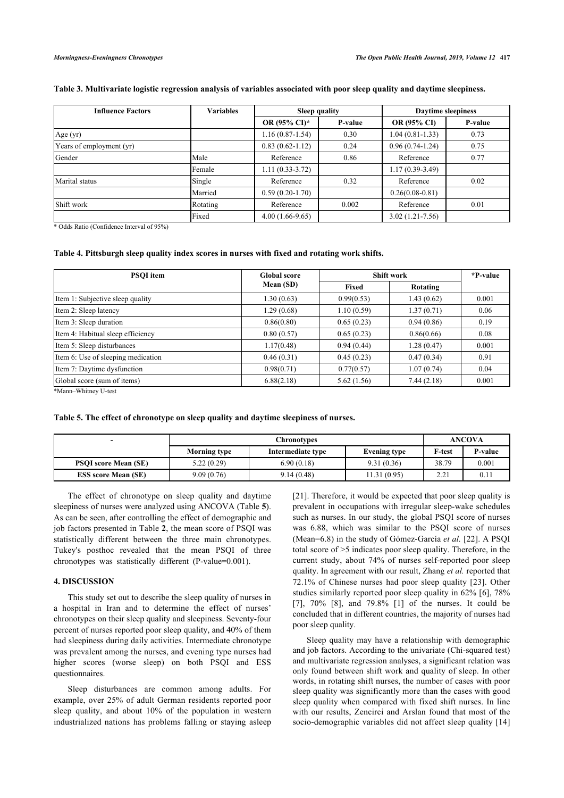# **Table 3. Multivariate logistic regression analysis of variables associated with poor sleep quality and daytime sleepiness.**

| <b>Influence Factors</b> | <b>Variables</b> | <b>Sleep quality</b> |         | <b>Daytime sleepiness</b> |         |  |
|--------------------------|------------------|----------------------|---------|---------------------------|---------|--|
|                          |                  | OR (95% CI)*         | P-value | OR (95% CI)               | P-value |  |
| Age (yr)                 |                  | $1.16(0.87-1.54)$    | 0.30    | $1.04(0.81-1.33)$         | 0.73    |  |
| Years of employment (yr) |                  | $0.83(0.62 - 1.12)$  | 0.24    | $0.96(0.74-1.24)$         | 0.75    |  |
| Gender                   | Male             | Reference            | 0.86    | Reference                 | 0.77    |  |
|                          | Female           | $1.11(0.33-3.72)$    |         | $1.17(0.39-3.49)$         |         |  |
| Marital status           | Single           | Reference            | 0.32    | Reference                 | 0.02    |  |
|                          | Married          | $0.59(0.20-1.70)$    |         | $0.26(0.08-0.81)$         |         |  |
| Shift work               | Rotating         | Reference            | 0.002   | Reference                 | 0.01    |  |
|                          | Fixed            | $4.00(1.66-9.65)$    |         | $3.02(1.21 - 7.56)$       |         |  |

\* Odds Ratio (Confidence Interval of 95%)

# <span id="page-3-0"></span>**Table 4. Pittsburgh sleep quality index scores in nurses with fixed and rotating work shifts.**

| <b>PSOI</b> item                                                                            | <b>Global score</b> | <b>Shift work</b> | *P-value   |       |
|---------------------------------------------------------------------------------------------|---------------------|-------------------|------------|-------|
|                                                                                             | Mean (SD)           | Fixed             | Rotating   |       |
| Item 1: Subjective sleep quality                                                            | 1.30(0.63)          | 0.99(0.53)        | 1.43(0.62) | 0.001 |
| Item 2: Sleep latency                                                                       | 1.29(0.68)          | 1.10(0.59)        | 1.37(0.71) | 0.06  |
| Item 3: Sleep duration                                                                      | 0.86(0.80)          | 0.65(0.23)        | 0.94(0.86) | 0.19  |
| Item 4: Habitual sleep efficiency                                                           | 0.80(0.57)          | 0.65(0.23)        | 0.86(0.66) | 0.08  |
| Item 5: Sleep disturbances                                                                  | 1.17(0.48)          | 0.94(0.44)        | 1.28(0.47) | 0.001 |
| Item 6: Use of sleeping medication                                                          | 0.46(0.31)          | 0.45(0.23)        | 0.47(0.34) | 0.91  |
| Item 7: Daytime dysfunction                                                                 | 0.98(0.71)          | 0.77(0.57)        | 1.07(0.74) | 0.04  |
| Global score (sum of items)                                                                 | 6.88(2.18)          | 5.62(1.56)        | 7.44(2.18) | 0.001 |
| $\mathbf{A} \mathbf{A}$ and $\mathbf{B}$ and $\mathbf{B}$ are $\mathbf{B}$ and $\mathbf{B}$ |                     |                   |            |       |

\*Mann–Whitney U-test

<span id="page-3-1"></span>**Table 5. The effect of chronotype on sleep quality and daytime sleepiness of nurses.**

| -                           | <b>Chronotypes</b>  |                                          |              | <b>ANCOVA</b> |                  |  |
|-----------------------------|---------------------|------------------------------------------|--------------|---------------|------------------|--|
|                             | <b>Morning type</b> | Intermediate type<br><b>Evening type</b> |              |               | P-value          |  |
| <b>PSOI</b> score Mean (SE) | 5.22(0.29)          | 6.90(0.18)                               | 9.31(0.36)   | 38.79         | 0.001            |  |
| <b>ESS score Mean (SE)</b>  | 9.09(0.76)          | 9.14(0.48)                               | 11.31 (0.95) | 2.21          | 0.1 <sub>1</sub> |  |

The effect of chronotype on sleep quality and daytime sleepiness of nurses were analyzed using ANCOVA (Table **[5](#page-3-1)**). As can be seen, after controlling the effect of demographic and job factors presented in Table **[2](#page-2-1)**, the mean score of PSQI was statistically different between the three main chronotypes. Tukey's posthoc revealed that the mean PSQI of three chronotypes was statistically different (P-value=0.001).

## **4. DISCUSSION**

This study set out to describe the sleep quality of nurses in a hospital in Iran and to determine the effect of nurses' chronotypes on their sleep quality and sleepiness. Seventy-four percent of nurses reported poor sleep quality, and 40% of them had sleepiness during daily activities. Intermediate chronotype was prevalent among the nurses, and evening type nurses had higher scores (worse sleep) on both PSQI and ESS questionnaires.

Sleep disturbances are common among adults. For example, over 25% of adult German residents reported poor sleep quality, and about 10% of the population in western industrialized nations has problems falling or staying asleep [[21](#page-5-20)]. Therefore, it would be expected that poor sleep quality is prevalent in occupations with irregular sleep-wake schedules such as nurses. In our study, the global PSQI score of nurses was 6.88, which was similar to the PSQI score of nurses (Mean=6.8) in the study of Gómez-García *et al.* [[22\]](#page-5-21). A PSQI total score of >5 indicates poor sleep quality. Therefore, in the current study, about 74% of nurses self-reported poor sleep quality. In agreement with our result, Zhang *et al.* reported that 72.1% of Chinese nurses had poor sleep quality[[23\]](#page-5-22). Other studies similarly reported poor sleep quality in 62% [[6\]](#page-5-5), 78% [[7\]](#page-5-6), 70%[[8](#page-5-7)], and 79.8%[[1\]](#page-5-0) of the nurses. It could be concluded that in different countries, the majority of nurses had poor sleep quality.

Sleep quality may have a relationship with demographic and job factors. According to the univariate (Chi-squared test) and multivariate regression analyses, a significant relation was only found between shift work and quality of sleep. In other words, in rotating shift nurses, the number of cases with poor sleep quality was significantly more than the cases with good sleep quality when compared with fixed shift nurses. In line with our results, Zencirci and Arslan found that most of the socio-demographic variables did not affect sleep quality [\[14\]](#page-5-13)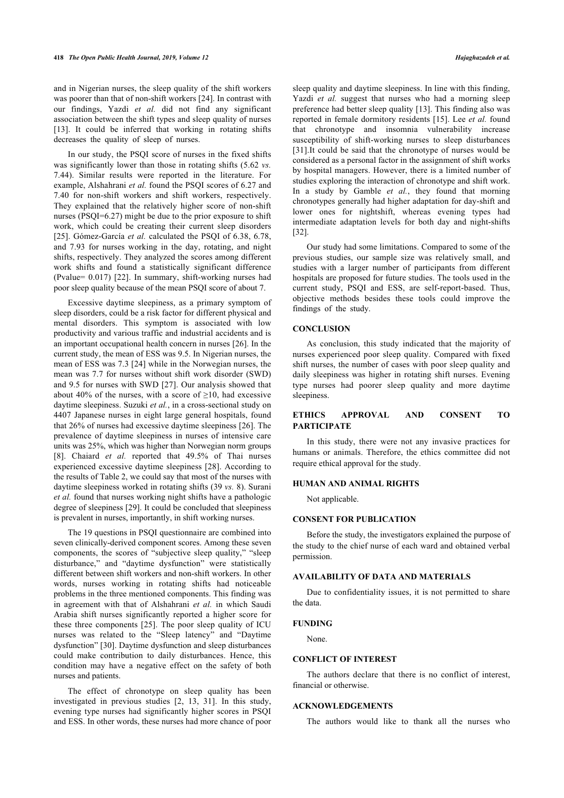and in Nigerian nurses, the sleep quality of the shift workers was poorer than that of non-shift workers [[24\]](#page-5-23). In contrast with our findings, Yazdi *et al.* did not find any significant association between the shift types and sleep quality of nurses [[13\]](#page-5-12). It could be inferred that working in rotating shifts decreases the quality of sleep of nurses.

In our study, the PSQI score of nurses in the fixed shifts was significantly lower than those in rotating shifts (5.62 *vs.* 7.44). Similar results were reported in the literature. For example, Alshahrani *et al.* found the PSQI scores of 6.27 and 7.40 for non-shift workers and shift workers, respectively. They explained that the relatively higher score of non-shift nurses (PSQI=6.27) might be due to the prior exposure to shift work, which could be creating their current sleep disorders [[25\]](#page-5-24). Gómez-García *et al.* calculated the PSOI of 6.38, 6.78, and 7.93 for nurses working in the day, rotating, and night shifts, respectively. They analyzed the scores among different work shifts and found a statistically significant difference (Pvalue= 0.017) [[22\]](#page-5-21). In summary, shift-working nurses had poor sleep quality because of the mean PSQI score of about 7.

Excessive daytime sleepiness, as a primary symptom of sleep disorders, could be a risk factor for different physical and mental disorders. This symptom is associated with low productivity and various traffic and industrial accidents and is an important occupational health concern in nurses [\[26](#page-5-25)]. In the current study, the mean of ESS was 9.5. In Nigerian nurses, the mean of ESS was 7.3 [[24\]](#page-5-23) while in the Norwegian nurses, the mean was 7.7 for nurses without shift work disorder (SWD) and 9.5 for nurses with SWD [[27\]](#page-5-26). Our analysis showed that about 40% of the nurses, with a score of  $\geq$ 10, had excessive daytime sleepiness. Suzuki *et al.*, in a cross-sectional study on 4407 Japanese nurses in eight large general hospitals, found that 26% of nurses had excessive daytime sleepiness [\[26](#page-5-25)]. The prevalence of daytime sleepiness in nurses of intensive care units was 25%, which was higher than Norwegian norm groups [[8](#page-5-7)]. Chaiard *et al.* reported that 49.5% of Thai nurses experienced excessive daytime sleepiness [\[28\]](#page-5-27). According to the results of [Table 2,](#page--1-0) we could say that most of the nurses with daytime sleepiness worked in rotating shifts (39 *vs.* 8). Surani *et al.* found that nurses working night shifts have a pathologic degree of sleepiness [[29\]](#page-5-28). It could be concluded that sleepiness is prevalent in nurses, importantly, in shift working nurses.

The 19 questions in PSQI questionnaire are combined into seven clinically-derived component scores. Among these seven components, the scores of "subjective sleep quality," "sleep disturbance," and "daytime dysfunction" were statistically different between shift workers and non-shift workers. In other words, nurses working in rotating shifts had noticeable problems in the three mentioned components. This finding was in agreement with that of Alshahrani *et al.* in which Saudi Arabia shift nurses significantly reported a higher score for these three components [[25](#page-5-24)]. The poor sleep quality of ICU nurses was related to the "Sleep latency" and "Daytime dysfunction" [[30\]](#page-5-29). Daytime dysfunction and sleep disturbances could make contribution to daily disturbances. Hence, this condition may have a negative effect on the safety of both nurses and patients.

The effect of chronotype on sleep quality has been investigated in previous studies [\[2,](#page-5-1) [13,](#page-5-12) [31\]](#page-5-30). In this study, evening type nurses had significantly higher scores in PSQI and ESS. In other words, these nurses had more chance of poor sleep quality and daytime sleepiness. In line with this finding, Yazdi *et al.* suggest that nurses who had a morning sleep preference had better sleep quality [[13](#page-5-12)]. This finding also was reported in female dormitory residents [\[15](#page-5-14)]. Lee *et al.* found that chronotype and insomnia vulnerability increase susceptibility of shift-working nurses to sleep disturbances [[31](#page-5-30)].It could be said that the chronotype of nurses would be considered as a personal factor in the assignment of shift works by hospital managers. However, there is a limited number of studies exploring the interaction of chronotype and shift work. In a study by Gamble *et al.*, they found that morning chronotypes generally had higher adaptation for day-shift and lower ones for nightshift, whereas evening types had intermediate adaptation levels for both day and night-shifts [[32\]](#page-5-31).

Our study had some limitations. Compared to some of the previous studies, our sample size was relatively small, and studies with a larger number of participants from different hospitals are proposed for future studies. The tools used in the current study, PSQI and ESS, are self-report-based. Thus, objective methods besides these tools could improve the findings of the study.

#### **CONCLUSION**

As conclusion, this study indicated that the majority of nurses experienced poor sleep quality. Compared with fixed shift nurses, the number of cases with poor sleep quality and daily sleepiness was higher in rotating shift nurses. Evening type nurses had poorer sleep quality and more daytime sleepiness.

# **ETHICS APPROVAL AND CONSENT TO PARTICIPATE**

In this study, there were not any invasive practices for humans or animals. Therefore, the ethics committee did not require ethical approval for the study.

# **HUMAN AND ANIMAL RIGHTS**

Not applicable.

#### **CONSENT FOR PUBLICATION**

Before the study, the investigators explained the purpose of the study to the chief nurse of each ward and obtained verbal permission.

## **AVAILABILITY OF DATA AND MATERIALS**

Due to confidentiality issues, it is not permitted to share the data.

#### **FUNDING**

None.

# **CONFLICT OF INTEREST**

The authors declare that there is no conflict of interest, financial or otherwise.

## **ACKNOWLEDGEMENTS**

The authors would like to thank all the nurses who